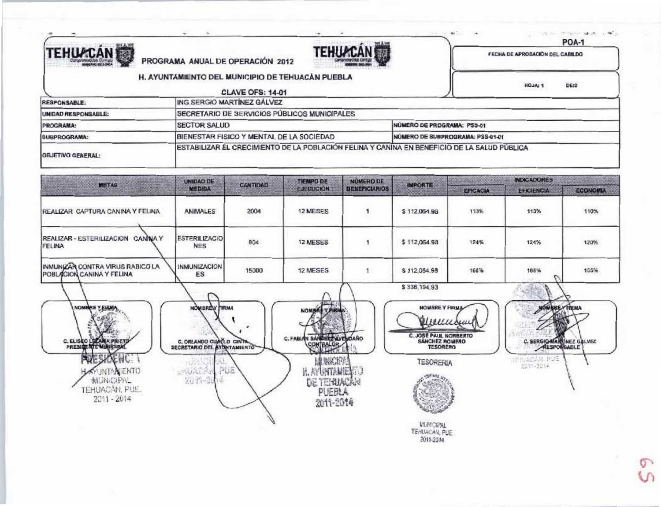

PROGRAMA ANUAL DE OPERACIÓN 2012



provided imposing search office

**POA-1** 

HOJA: 1 DE:2

FECHA DE APROBACIÓN DEL CABILDO

|  |  |  |  | H. AYUNTAMIENTO DEL MUNICIPIO DE TEHUACAN PUEBLA |  |
|--|--|--|--|--------------------------------------------------|--|
|--|--|--|--|--------------------------------------------------|--|

a prima a presentazione il terrori della

|                            | <b>CLAVE OFS: 14-01</b>                                                                     |                                  |
|----------------------------|---------------------------------------------------------------------------------------------|----------------------------------|
| <b>RESPONSABLE:</b>        | ING SERGIO MARTINEZ GÁLVEZ                                                                  |                                  |
| <b>UNIDAD RESPONSABLE:</b> | SECRETARIO DE SERVICIOS PÚBLICOS MUNICIPALES                                                |                                  |
| PROGRAMA:                  | <b>ISECTOR SALUD</b>                                                                        | NUMERO DE PROGRAMA: PSS-01       |
| SUBPROGRAMA:               | BIENESTAR FISICO Y MENTAL DE LA SOCIEDAD                                                    | NUMERO DE SUBPROGRAMA: PSS-01-01 |
| <b>OBJETIVO GENERAL:</b>   | ESTABILIZAR EL CRECIMIENTO DE LA POBLACIÓN FELINA Y CANINA EN BENEFICIO DE LA SALUD PÚBLICA |                                  |



PUEBLA

2011-2014

**MUNICIPAL** TEHUACAN, PUE. 2011-2014

**SALE** 

TEHUACÁN, PUE.

 $2011 - 2014$